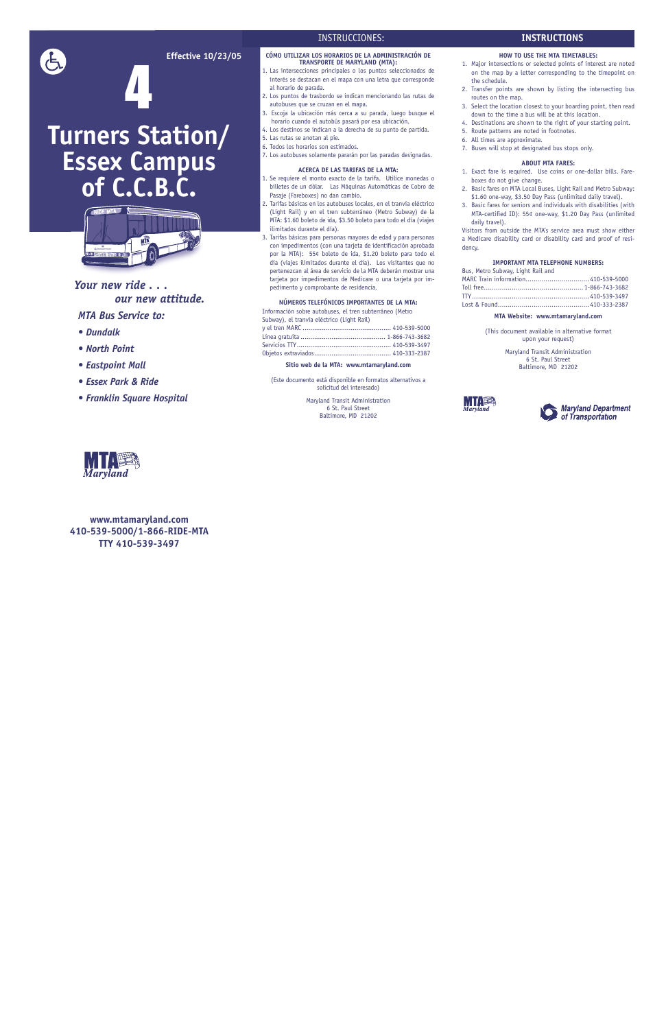**Effective 10/23/05**

# 4

**Turners Station/**

**Essex Campus** 

**of C.C.B.C.**

*Your new ride . . .*

 *our new attitude.*

*MTA Bus Service to:*

# *• Dundalk • North Point*

- *Eastpoint Mall*
- *Essex Park & Ride*

*• Franklin Square Hospital*

**www.mtamaryland.com 410-539-5000/1-866-RIDE-MTA TTY 410-539-3497**

# INSTRUCCIONES:

### **CÓMO UTILIZAR LOS HORARIOS DE LA ADMINISTRACIÓN DE TRANSPORTE DE MARYLAND (MTA):**

- 1. Las intersecciones principales o los puntos seleccionados de interés se destacan en el mapa con una letra que corresponde al horario de parada.
- 2. Los puntos de trasbordo se indican mencionando las rutas de autobuses que se cruzan en el mapa.
- 3. Escoja la ubicación más cerca a su parada, luego busque el horario cuando el autobús pasará por esa ubicación.
- 4. Los destinos se indican a la derecha de su punto de partida.
- 5. Las rutas se anotan al pie.
- 6. Todos los horarios son estimados. 7. Los autobuses solamente pararán por las paradas designadas.

- 1. Se requiere el monto exacto de la tarifa. Utilice monedas o billetes de un dólar. Las Máquinas Automáticas de Cobro de Pasaje (Fareboxes) no dan cambio.
- 2. Tarifas básicas en los autobuses locales, en el tranvía eléctrico (Light Rail) y en el tren subterráneo (Metro Subway) de la MTA: \$1.60 boleto de ida, \$3.50 boleto para todo el día (viajes ilimitados durante el día).
- 3. Tarifas básicas para personas mayores de edad y para personas con impedimentos (con una tarjeta de identificación aprobada por la MTA): 55¢ boleto de ida, \$1.20 boleto para todo el día (viajes ilimitados durante el día). Los visitantes que no pertenezcan al área de servicio de la MTA deberán mostrar una tarjeta por impedimentos de Medicare o una tarjeta por impedimento y comprobante de residencia.

### **ACERCA DE LAS TARIFAS DE LA MTA:**

### **NÚMEROS TELEFÓNICOS IMPORTANTES DE LA MTA:**

Información sobre autobuses, el tren subterráneo (Metro

| Subway), el tranvía eléctrico (Light Rail) |  |
|--------------------------------------------|--|
|                                            |  |
|                                            |  |
|                                            |  |
|                                            |  |

### **Sitio web de la MTA: www.mtamaryland.com**

(Este documento está disponible en formatos alternativos a solicitud del interesado)

> Maryland Transit Administration 6 St. Paul Street Baltimore, MD 21202

## **HOW TO USE THE MTA TIMETABLES:**

1. Major intersections or selected points of interest are noted on the map by a letter corresponding to the timepoint on the schedule.

- 2. Transfer points are shown by listing the intersecting bus routes on the map.
- 3. Select the location closest to your boarding point, then read down to the time a bus will be at this location.
- 4. Destinations are shown to the right of your starting point.
- 5. Route patterns are noted in footnotes.
- 6. All times are approximate.
- 7. Buses will stop at designated bus stops only.

### **ABOUT MTA FARES:**

- 1. Exact fare is required. Use coins or one-dollar bills. Fareboxes do not give change.
- 2. Basic fares on MTA Local Buses, Light Rail and Metro Subway: \$1.60 one-way, \$3.50 Day Pass (unlimited daily travel).
- 3. Basic fares for seniors and individuals with disabilities (with MTA-certified ID): 55¢ one-way, \$1.20 Day Pass (unlimited daily travel).

Visitors from outside the MTA's service area must show either a Medicare disability card or disability card and proof of residency.

# **IMPORTANT MTA TELEPHONE NUMBERS:**

Bus, Metro Subway, Light Rail and

MI I ES

| MARC Train information410-539-5000 |  |
|------------------------------------|--|
|                                    |  |
|                                    |  |
|                                    |  |
|                                    |  |

### **MTA Website: www.mtamaryland.com**

(This document available in alternative format upon your request)

> Maryland Transit Administration 6 St. Paul Street Baltimore, MD 21202





**INSTRUCTIONS**